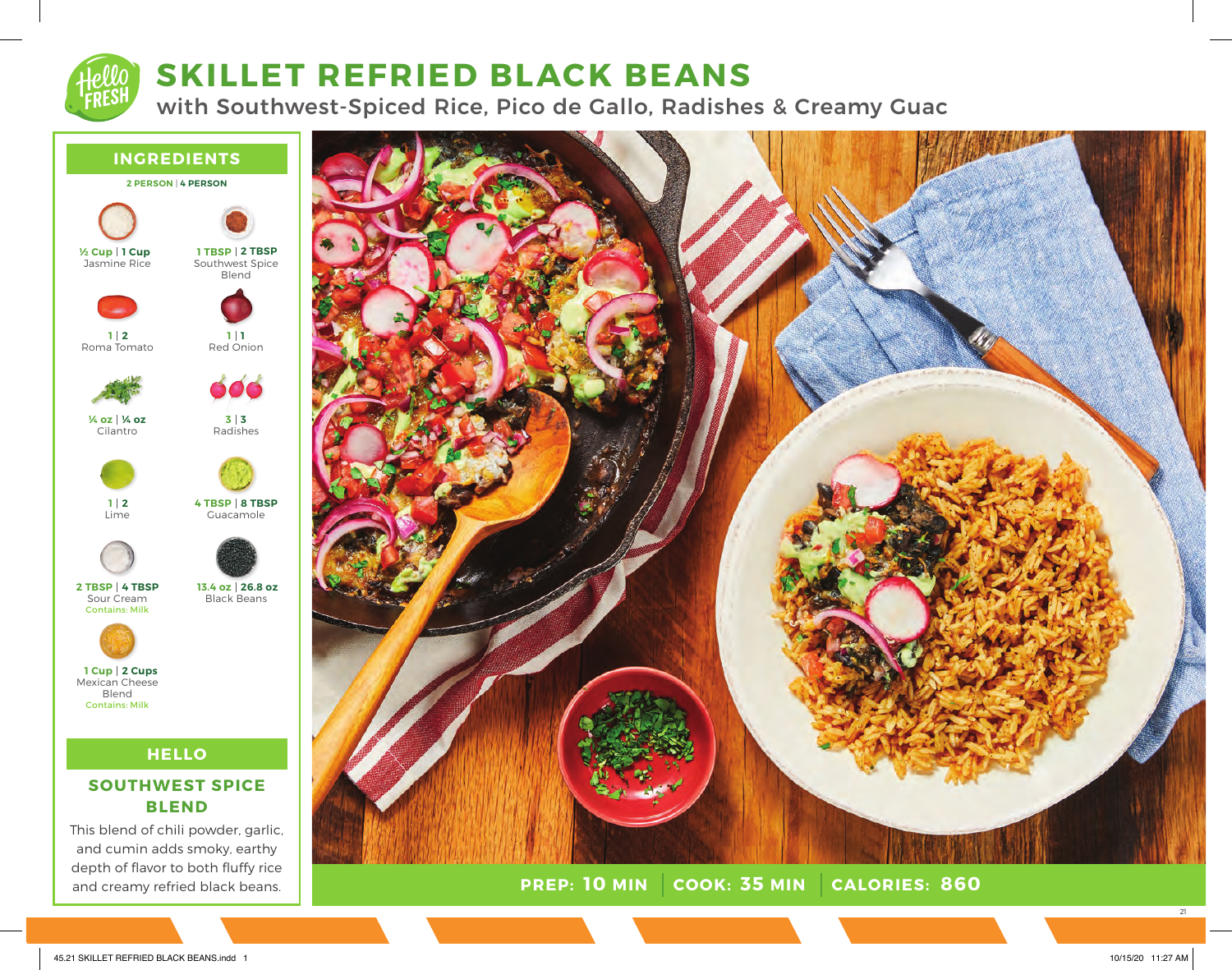

# **SKILLET REFRIED BLACK BEANS**

with Southwest-Spiced Rice, Pico de Gallo, Radishes & Creamy Guac





**PREP: 10 MIN COOK: 35 MIN 10 MIN 35 MIN 860**

21